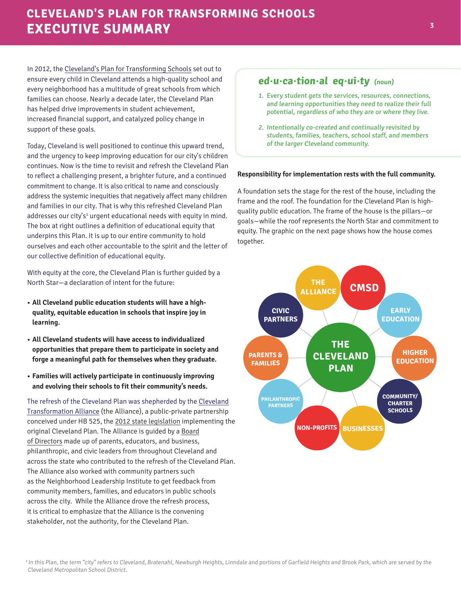## **CLEVELAND'S PLAN FOR TRANSFORMING SCHOOLS EXECUTIVE SUMMARY**

In 2012, the [Cleveland's Plan for Transforming Schools](https://mycleschool.org/wp-content/uploads/2018/05/ClevelandPlanLegislation.pdf) set out to ensure every child in Cleveland attends a high-quality school and every neighborhood has a multitude of great schools from which families can choose. Nearly a decade later, the Cleveland Plan has helped drive improvements in student achievement, increased financial support, and catalyzed policy change in support of these goals.

Today, Cleveland is well positioned to continue this upward trend, and the urgency to keep improving education for our city's children continues. Now is the time to revisit and refresh the Cleveland Plan to reflect a challenging present, a brighter future, and a continued commitment to change. It is also critical to name and consciously address the systemic inequities that negatively affect many children and families in our city. That is why this refreshed Cleveland Plan addresses our city's<sup>1</sup> urgent educational needs with equity in mind. The box at right outlines a definition of educational equity that underpins this Plan. It is up to our entire community to hold ourselves and each other accountable to the spirit and the letter of our collective definition of educational equity.

With equity at the core, the Cleveland Plan is further guided by a North Star—a declaration of intent for the future:

- **• All Cleveland public education students will have a highquality, equitable education in schools that inspire joy in learning.**
- **• All Cleveland students will have access to individualized opportunities that prepare them to participate in society and forge a meaningful path for themselves when they graduate.**
- **• Families will actively participate in continuously improving and evolving their schools to fit their community's needs.**

[The refresh of the Cleveland Plan was shepherded by the Cleveland](https://mycleschool.org/about-us/)  Transformation Alliance (the Alliance), a public-private partnership conceived under HB 525, the [2012 state legislation](https://legiscan.com/OH/text/HB525/2011) implementing the original Cleveland Plan. The Alliance is guided by a [Board](https://mycleschool.org/about-us/)  [of Directors](https://mycleschool.org/about-us/) made up of parents, educators, and business, philanthropic, and civic leaders from throughout Cleveland and across the state who contributed to the refresh of the Cleveland Plan. The Alliance also worked with community partners such as the Neighborhood Leadership Institute to get feedback from community members, families, and educators in public schools across the city. While the Alliance drove the refresh process, it is critical to emphasize that the Alliance is the convening stakeholder, not the authority, for the Cleveland Plan.

## **ed·u·ca·tion·al eq·ui·ty (noun)**

- 1. Every student gets the services, resources, connections, and learning opportunities they need to realize their full potential, regardless of who they are or where they live.
- 2. Intentionally co-created and continually revisited by students, families, teachers, school staff, and members of the larger Cleveland community.

## **Responsibility for implementation rests with the full community.**

A foundation sets the stage for the rest of the house, including the frame and the roof. The foundation for the Cleveland Plan is highquality public education. The frame of the house is the pillars—or goals—while the roof represents the North Star and commitment to equity. The graphic on the next page shows how the house comes together.